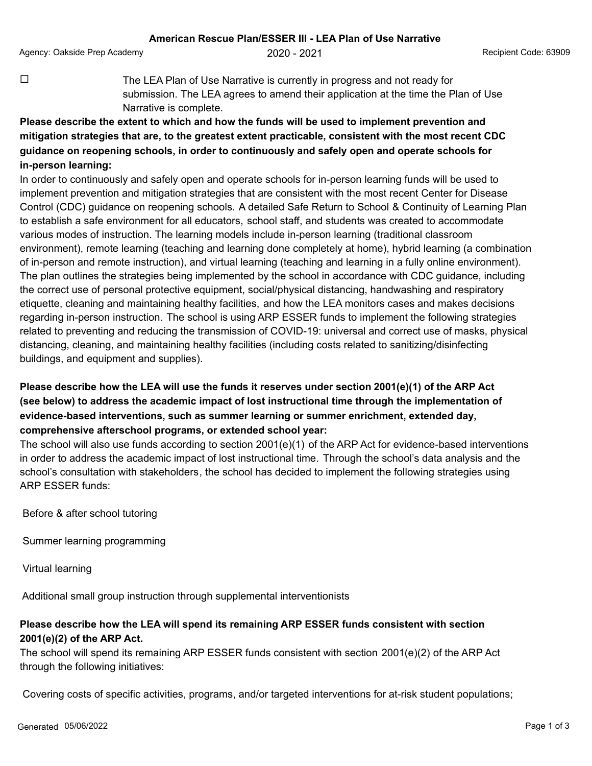Agency: Oakside Prep Academy **2020 - 2021** Agency: Oakside Prep Academy **Agency: Oakside Prep Academy** 

 $\Box$  The LEA Plan of Use Narrative is currently in progress and not ready for submission. The LEA agrees to amend their application at the time the Plan of Use Narrative is complete.

## **Please describe the extent to which and how the funds will be used to implement prevention and mitigation strategies that are, to the greatest extent practicable, consistent with the most recent CDC guidance on reopening schools, in order to continuously and safely open and operate schools for in-person learning:**

In order to continuously and safely open and operate schools for in-person learning funds will be used to implement prevention and mitigation strategies that are consistent with the most recent Center for Disease Control (CDC) guidance on reopening schools. A detailed Safe Return to School & Continuity of Learning Plan to establish a safe environment for all educators, school staff, and students was created to accommodate various modes of instruction. The learning models include in-person learning (traditional classroom environment), remote learning (teaching and learning done completely at home), hybrid learning (a combination of in-person and remote instruction), and virtual learning (teaching and learning in a fully online environment). The plan outlines the strategies being implemented by the school in accordance with CDC guidance, including the correct use of personal protective equipment, social/physical distancing, handwashing and respiratory etiquette, cleaning and maintaining healthy facilities, and how the LEA monitors cases and makes decisions regarding in-person instruction. The school is using ARP ESSER funds to implement the following strategies related to preventing and reducing the transmission of COVID-19: universal and correct use of masks, physical distancing, cleaning, and maintaining healthy facilities (including costs related to sanitizing/disinfecting buildings, and equipment and supplies).

## **Please describe how the LEA will use the funds it reserves under section 2001(e)(1) of the ARP Act (see below) to address the academic impact of lost instructional time through the implementation of evidence-based interventions, such as summer learning or summer enrichment, extended day, comprehensive afterschool programs, or extended school year:**

The school will also use funds according to section 2001(e)(1) of the ARP Act for evidence-based interventions in order to address the academic impact of lost instructional time. Through the school's data analysis and the school's consultation with stakeholders, the school has decided to implement the following strategies using ARP ESSER funds:

Before & after school tutoring

Summer learning programming

Virtual learning

Additional small group instruction through supplemental interventionists

## **Please describe how the LEA will spend its remaining ARP ESSER funds consistent with section 2001(e)(2) of the ARP Act.**

The school will spend its remaining ARP ESSER funds consistent with section 2001(e)(2) of the ARP Act through the following initiatives:

Covering costs of specific activities, programs, and/or targeted interventions for at-risk student populations;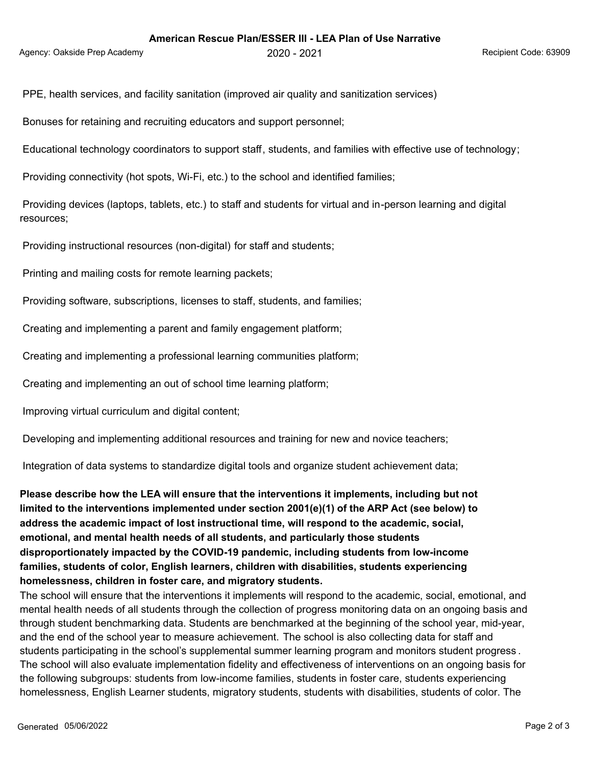PPE, health services, and facility sanitation (improved air quality and sanitization services)

Bonuses for retaining and recruiting educators and support personnel;

Educational technology coordinators to support staff, students, and families with effective use of technology;

Providing connectivity (hot spots, Wi-Fi, etc.) to the school and identified families;

 Providing devices (laptops, tablets, etc.) to staff and students for virtual and in-person learning and digital resources;

Providing instructional resources (non-digital) for staff and students;

Printing and mailing costs for remote learning packets;

Providing software, subscriptions, licenses to staff, students, and families;

Creating and implementing a parent and family engagement platform;

Creating and implementing a professional learning communities platform;

Creating and implementing an out of school time learning platform;

Improving virtual curriculum and digital content;

Developing and implementing additional resources and training for new and novice teachers;

Integration of data systems to standardize digital tools and organize student achievement data;

**Please describe how the LEA will ensure that the interventions it implements, including but not limited to the interventions implemented under section 2001(e)(1) of the ARP Act (see below) to address the academic impact of lost instructional time, will respond to the academic, social, emotional, and mental health needs of all students, and particularly those students disproportionately impacted by the COVID-19 pandemic, including students from low-income families, students of color, English learners, children with disabilities, students experiencing homelessness, children in foster care, and migratory students.**

The school will ensure that the interventions it implements will respond to the academic, social, emotional, and mental health needs of all students through the collection of progress monitoring data on an ongoing basis and through student benchmarking data. Students are benchmarked at the beginning of the school year, mid-year, and the end of the school year to measure achievement. The school is also collecting data for staff and students participating in the school's supplemental summer learning program and monitors student progress . The school will also evaluate implementation fidelity and effectiveness of interventions on an ongoing basis for the following subgroups: students from low-income families, students in foster care, students experiencing homelessness, English Learner students, migratory students, students with disabilities, students of color. The